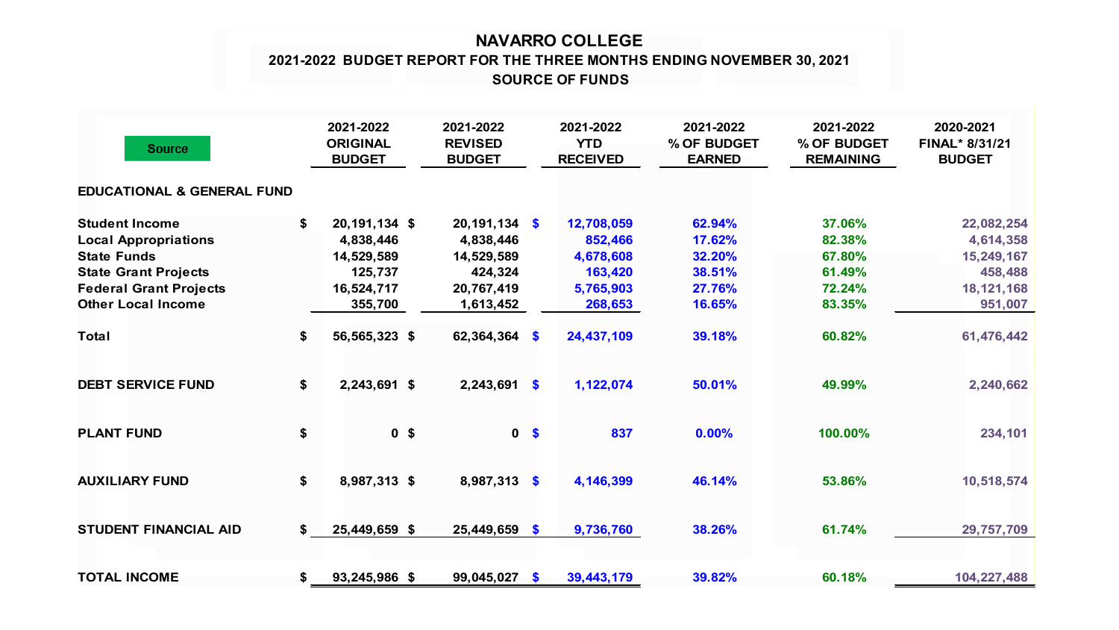## **NAVARRO COLLEGE SOURCE OF FUNDS 2021-2022 BUDGET REPORT FOR THE THREE MONTHS ENDING NOVEMBER 30, 2021**

| <b>Source</b>                                                                                                                              | 2021-2022<br><b>ORIGINAL</b><br><b>BUDGET</b>                           | 2021-2022<br><b>REVISED</b><br><b>BUDGET</b>                        |                | 2021-2022<br><b>YTD</b><br><b>RECEIVED</b>                 | 2021-2022<br>% OF BUDGET<br><b>EARNED</b>      | 2021-2022<br>% OF BUDGET<br><b>REMAINING</b>   | 2020-2021<br>FINAL* 8/31/21<br><b>BUDGET</b>                     |
|--------------------------------------------------------------------------------------------------------------------------------------------|-------------------------------------------------------------------------|---------------------------------------------------------------------|----------------|------------------------------------------------------------|------------------------------------------------|------------------------------------------------|------------------------------------------------------------------|
| <b>EDUCATIONAL &amp; GENERAL FUND</b>                                                                                                      |                                                                         |                                                                     |                |                                                            |                                                |                                                |                                                                  |
| <b>Student Income</b><br><b>Local Appropriations</b><br><b>State Funds</b><br><b>State Grant Projects</b><br><b>Federal Grant Projects</b> | \$<br>20,191,134 \$<br>4,838,446<br>14,529,589<br>125,737<br>16,524,717 | $20,191,134$ \$<br>4,838,446<br>14,529,589<br>424,324<br>20,767,419 |                | 12,708,059<br>852,466<br>4,678,608<br>163,420<br>5,765,903 | 62.94%<br>17.62%<br>32.20%<br>38.51%<br>27.76% | 37.06%<br>82.38%<br>67.80%<br>61.49%<br>72.24% | 22,082,254<br>4,614,358<br>15,249,167<br>458,488<br>18, 121, 168 |
| <b>Other Local Income</b><br><b>Total</b>                                                                                                  | \$<br>355,700<br>56,565,323 \$                                          | 1,613,452<br>62,364,364 \$                                          |                | 268,653<br>24,437,109                                      | 16.65%<br>39.18%                               | 83.35%<br>60.82%                               | 951,007<br>61,476,442                                            |
| <b>DEBT SERVICE FUND</b>                                                                                                                   | \$<br>2,243,691 \$                                                      | $2,243,691$ \$                                                      |                | 1,122,074                                                  | 50.01%                                         | 49.99%                                         | 2,240,662                                                        |
| <b>PLANT FUND</b>                                                                                                                          | \$<br>0 <sup>5</sup>                                                    |                                                                     | 0 <sup>5</sup> | 837                                                        | 0.00%                                          | 100.00%                                        | 234,101                                                          |
| <b>AUXILIARY FUND</b>                                                                                                                      | \$<br>8,987,313 \$                                                      | 8,987,313 \$                                                        |                | 4,146,399                                                  | 46.14%                                         | 53.86%                                         | 10,518,574                                                       |
| <b>STUDENT FINANCIAL AID</b>                                                                                                               | \$<br>25,449,659 \$                                                     | $25,449,659$ \$                                                     |                | 9,736,760                                                  | 38.26%                                         | 61.74%                                         | 29,757,709                                                       |
| <b>TOTAL INCOME</b>                                                                                                                        | \$<br>93,245,986 \$                                                     | 99,045,027                                                          | - \$           | 39,443,179                                                 | 39.82%                                         | 60.18%                                         | 104,227,488                                                      |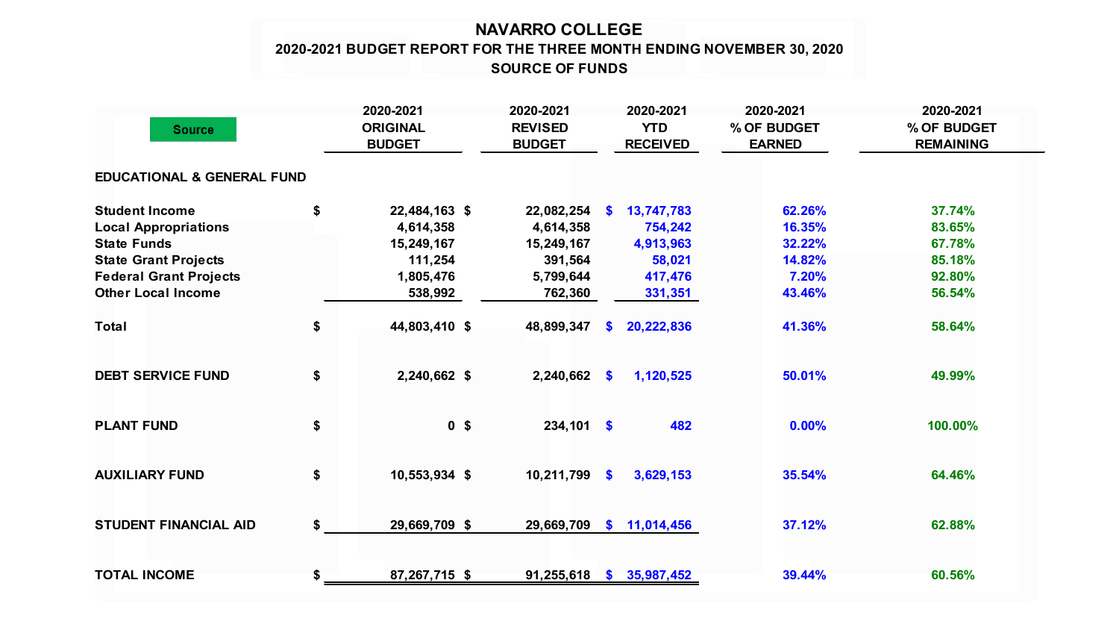## **NAVARRO COLLEGE 2020-2021 BUDGET REPORT FOR THE THREE MONTH ENDING NOVEMBER 30, 2020 SOURCE OF FUNDS**

|                                       | 2020-2021                        | 2020-2021                       |                           | 2020-2021                     | 2020-2021                    | 2020-2021                       |
|---------------------------------------|----------------------------------|---------------------------------|---------------------------|-------------------------------|------------------------------|---------------------------------|
| <b>Source</b>                         | <b>ORIGINAL</b><br><b>BUDGET</b> | <b>REVISED</b><br><b>BUDGET</b> |                           | <b>YTD</b><br><b>RECEIVED</b> | % OF BUDGET<br><b>EARNED</b> | % OF BUDGET<br><b>REMAINING</b> |
|                                       |                                  |                                 |                           |                               |                              |                                 |
| <b>EDUCATIONAL &amp; GENERAL FUND</b> |                                  |                                 |                           |                               |                              |                                 |
| <b>Student Income</b>                 | \$<br>22,484,163 \$              | 22,082,254                      | S.                        | 13,747,783                    | 62.26%                       | 37.74%                          |
| <b>Local Appropriations</b>           | 4,614,358                        | 4,614,358                       |                           | 754,242                       | 16.35%                       | 83.65%                          |
| <b>State Funds</b>                    | 15,249,167                       | 15,249,167                      |                           | 4,913,963                     | 32.22%                       | 67.78%                          |
| <b>State Grant Projects</b>           | 111,254                          | 391,564                         |                           | 58,021                        | 14.82%                       | 85.18%                          |
| <b>Federal Grant Projects</b>         | 1,805,476                        | 5,799,644                       |                           | 417,476                       | 7.20%                        | 92.80%                          |
| <b>Other Local Income</b>             | 538,992                          | 762,360                         |                           | 331,351                       | 43.46%                       | 56.54%                          |
| <b>Total</b>                          | \$<br>44,803,410 \$              | 48,899,347                      | S.                        | 20,222,836                    | 41.36%                       | 58.64%                          |
| <b>DEBT SERVICE FUND</b>              | \$<br>2,240,662 \$               | 2,240,662                       | $\bullet$                 | 1,120,525                     | 50.01%                       | 49.99%                          |
| <b>PLANT FUND</b>                     | \$<br>0 <sup>5</sup>             | $234,101$ \$                    |                           | 482                           | 0.00%                        | 100.00%                         |
| <b>AUXILIARY FUND</b>                 | \$<br>10,553,934 \$              | 10,211,799                      | $\boldsymbol{\mathsf{s}}$ | 3,629,153                     | 35.54%                       | 64.46%                          |
| <b>STUDENT FINANCIAL AID</b>          | \$<br>29,669,709 \$              | 29,669,709                      |                           | \$11,014,456                  | 37.12%                       | 62.88%                          |
| <b>TOTAL INCOME</b>                   | \$<br>87,267,715 \$              | 91,255,618                      |                           | \$35,987,452                  | 39.44%                       | 60.56%                          |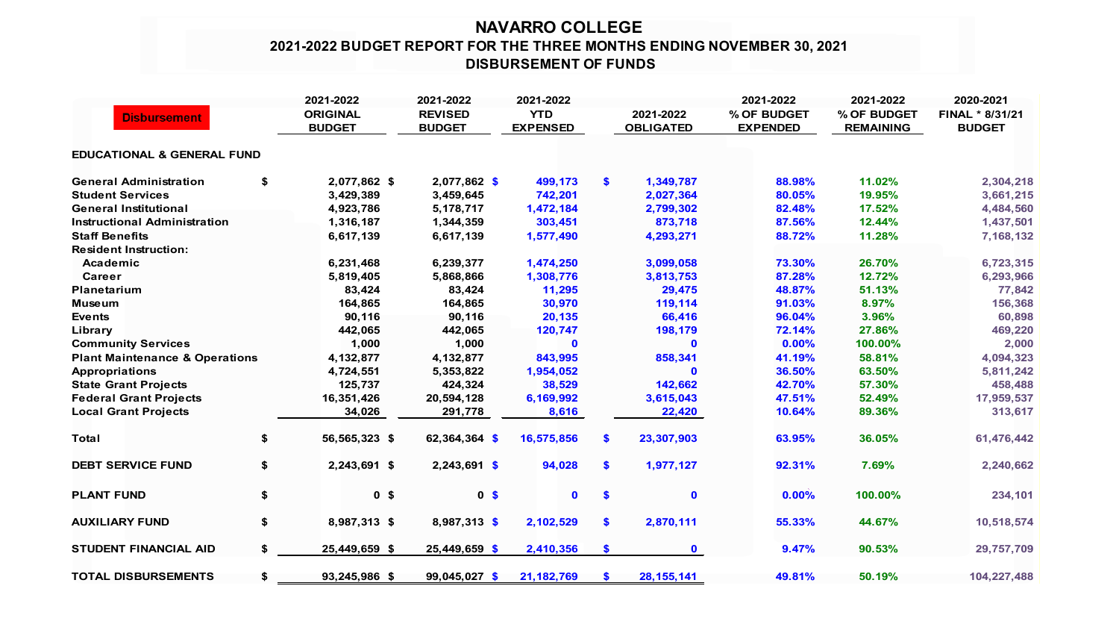## **NAVARRO COLLEGE 2021-2022 BUDGET REPORT FOR THE THREE MONTHS ENDING NOVEMBER 30, 2021 DISBURSEMENT OF FUNDS**

| <b>Disbursement</b>                       |    | 2021-2022<br><b>ORIGINAL</b><br><b>BUDGET</b> | 2021-2022<br><b>REVISED</b><br><b>BUDGET</b> | 2021-2022<br><b>YTD</b><br><b>EXPENSED</b> |               | 2021-2022<br><b>OBLIGATED</b> | 2021-2022<br>% OF BUDGET<br><b>EXPENDED</b> | 2021-2022<br>% OF BUDGET<br><b>REMAINING</b> | 2020-2021<br>FINAL * 8/31/21<br><b>BUDGET</b> |
|-------------------------------------------|----|-----------------------------------------------|----------------------------------------------|--------------------------------------------|---------------|-------------------------------|---------------------------------------------|----------------------------------------------|-----------------------------------------------|
| <b>EDUCATIONAL &amp; GENERAL FUND</b>     |    |                                               |                                              |                                            |               |                               |                                             |                                              |                                               |
| <b>General Administration</b>             | \$ | 2,077,862 \$                                  | $2,077,862$ \$                               | 499,173                                    | \$            | 1,349,787                     | 88.98%                                      | 11.02%                                       | 2,304,218                                     |
| <b>Student Services</b>                   |    | 3,429,389                                     | 3,459,645                                    | 742,201                                    |               | 2,027,364                     | 80.05%                                      | 19.95%                                       | 3,661,215                                     |
| <b>General Institutional</b>              |    | 4,923,786                                     | 5,178,717                                    | 1,472,184                                  |               | 2,799,302                     | 82.48%                                      | 17.52%                                       | 4,484,560                                     |
| <b>Instructional Administration</b>       |    | 1,316,187                                     | 1,344,359                                    | 303,451                                    |               | 873,718                       | 87.56%                                      | 12.44%                                       | 1,437,501                                     |
| <b>Staff Benefits</b>                     |    | 6,617,139                                     | 6,617,139                                    | 1,577,490                                  |               | 4,293,271                     | 88.72%                                      | 11.28%                                       | 7,168,132                                     |
| <b>Resident Instruction:</b>              |    |                                               |                                              |                                            |               |                               |                                             |                                              |                                               |
| Academic                                  |    | 6,231,468                                     | 6,239,377                                    | 1,474,250                                  |               | 3,099,058                     | 73.30%                                      | 26.70%                                       | 6,723,315                                     |
| Career                                    |    | 5,819,405                                     | 5,868,866                                    | 1,308,776                                  |               | 3,813,753                     | 87.28%                                      | 12.72%                                       | 6,293,966                                     |
| Planetarium                               |    | 83,424                                        | 83,424                                       | 11,295                                     |               | 29,475                        | 48.87%                                      | 51.13%                                       | 77,842                                        |
| <b>Museum</b>                             |    | 164,865                                       | 164,865                                      | 30,970                                     |               | 119,114                       | 91.03%                                      | 8.97%                                        | 156,368                                       |
| <b>Events</b>                             |    | 90,116                                        | 90,116                                       | 20,135                                     |               | 66,416                        | 96.04%                                      | 3.96%                                        | 60,898                                        |
| Library                                   |    | 442,065                                       | 442,065                                      | 120,747                                    |               | 198,179                       | 72.14%                                      | 27.86%                                       | 469,220                                       |
| <b>Community Services</b>                 |    | 1,000                                         | 1,000                                        | 0                                          |               | $\mathbf 0$                   | 0.00%                                       | 100.00%                                      | 2,000                                         |
| <b>Plant Maintenance &amp; Operations</b> |    | 4,132,877                                     | 4,132,877                                    | 843,995                                    |               | 858,341                       | 41.19%                                      | 58.81%                                       | 4,094,323                                     |
| <b>Appropriations</b>                     |    | 4,724,551                                     | 5,353,822                                    | 1,954,052                                  |               | $\mathbf{0}$                  | 36.50%                                      | 63.50%                                       | 5,811,242                                     |
| <b>State Grant Projects</b>               |    | 125,737                                       | 424,324                                      | 38,529                                     |               | 142,662                       | 42.70%                                      | 57.30%                                       | 458,488                                       |
| <b>Federal Grant Projects</b>             |    | 16,351,426                                    | 20,594,128                                   | 6,169,992                                  |               | 3,615,043                     | 47.51%                                      | 52.49%                                       | 17,959,537                                    |
| <b>Local Grant Projects</b>               |    | 34,026                                        | 291,778                                      | 8,616                                      |               | 22,420                        | 10.64%                                      | 89.36%                                       | 313,617                                       |
| <b>Total</b>                              | \$ | 56,565,323 \$                                 | 62,364,364 \$                                | 16,575,856                                 | $\mathbf{s}$  | 23,307,903                    | 63.95%                                      | 36.05%                                       | 61,476,442                                    |
| <b>DEBT SERVICE FUND</b>                  | \$ | 2,243,691 \$                                  | 2,243,691 \$                                 | 94,028                                     | \$            | 1,977,127                     | 92.31%                                      | 7.69%                                        | 2,240,662                                     |
| <b>PLANT FUND</b>                         | \$ | 0 <sup>5</sup>                                | 0 <sup>5</sup>                               | $\mathbf 0$                                | $\mathbf{\$}$ | $\mathbf 0$                   | 0.00%                                       | 100.00%                                      | 234,101                                       |
| <b>AUXILIARY FUND</b>                     | \$ | 8,987,313 \$                                  | 8,987,313 \$                                 | 2,102,529                                  | $\mathbf{\$}$ | 2,870,111                     | 55.33%                                      | 44.67%                                       | 10,518,574                                    |
| <b>STUDENT FINANCIAL AID</b>              | \$ | 25,449,659 \$                                 | 25,449,659 \$                                | 2,410,356                                  | $\mathbf{\$}$ | $\mathbf 0$                   | 9.47%                                       | 90.53%                                       | 29,757,709                                    |
| <b>TOTAL DISBURSEMENTS</b>                | \$ | 93,245,986 \$                                 | 99,045,027 \$                                | 21, 182, 769                               | <b>S</b>      | 28, 155, 141                  | 49.81%                                      | 50.19%                                       | 104,227,488                                   |